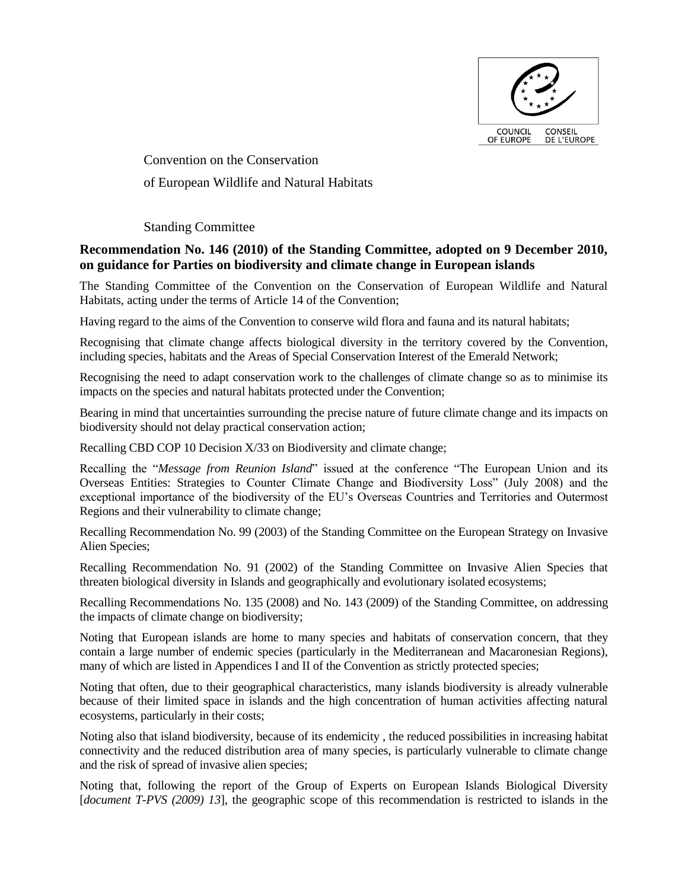

Convention on the Conservation of European Wildlife and Natural Habitats

Standing Committee

# **Recommendation No. 146 (2010) of the Standing Committee, adopted on 9 December 2010, on guidance for Parties on biodiversity and climate change in European islands**

The Standing Committee of the Convention on the Conservation of European Wildlife and Natural Habitats, acting under the terms of Article 14 of the Convention;

Having regard to the aims of the Convention to conserve wild flora and fauna and its natural habitats;

Recognising that climate change affects biological diversity in the territory covered by the Convention, including species, habitats and the Areas of Special Conservation Interest of the Emerald Network;

Recognising the need to adapt conservation work to the challenges of climate change so as to minimise its impacts on the species and natural habitats protected under the Convention;

Bearing in mind that uncertainties surrounding the precise nature of future climate change and its impacts on biodiversity should not delay practical conservation action;

Recalling CBD COP 10 Decision X/33 on Biodiversity and climate change;

Recalling the "*Message from Reunion Island*" issued at the conference "The European Union and its Overseas Entities: Strategies to Counter Climate Change and Biodiversity Loss" (July 2008) and the exceptional importance of the biodiversity of the EU's Overseas Countries and Territories and Outermost Regions and their vulnerability to climate change;

Recalling Recommendation No. 99 (2003) of the Standing Committee on the European Strategy on Invasive Alien Species;

Recalling Recommendation No. 91 (2002) of the Standing Committee on Invasive Alien Species that threaten biological diversity in Islands and geographically and evolutionary isolated ecosystems;

Recalling Recommendations No. 135 (2008) and No. 143 (2009) of the Standing Committee, on addressing the impacts of climate change on biodiversity;

Noting that European islands are home to many species and habitats of conservation concern, that they contain a large number of endemic species (particularly in the Mediterranean and Macaronesian Regions), many of which are listed in Appendices I and II of the Convention as strictly protected species;

Noting that often, due to their geographical characteristics, many islands biodiversity is already vulnerable because of their limited space in islands and the high concentration of human activities affecting natural ecosystems, particularly in their costs;

Noting also that island biodiversity, because of its endemicity , the reduced possibilities in increasing habitat connectivity and the reduced distribution area of many species, is particularly vulnerable to climate change and the risk of spread of invasive alien species;

Noting that, following the report of the Group of Experts on European Islands Biological Diversity [*document T-PVS (2009) 13*], the geographic scope of this recommendation is restricted to islands in the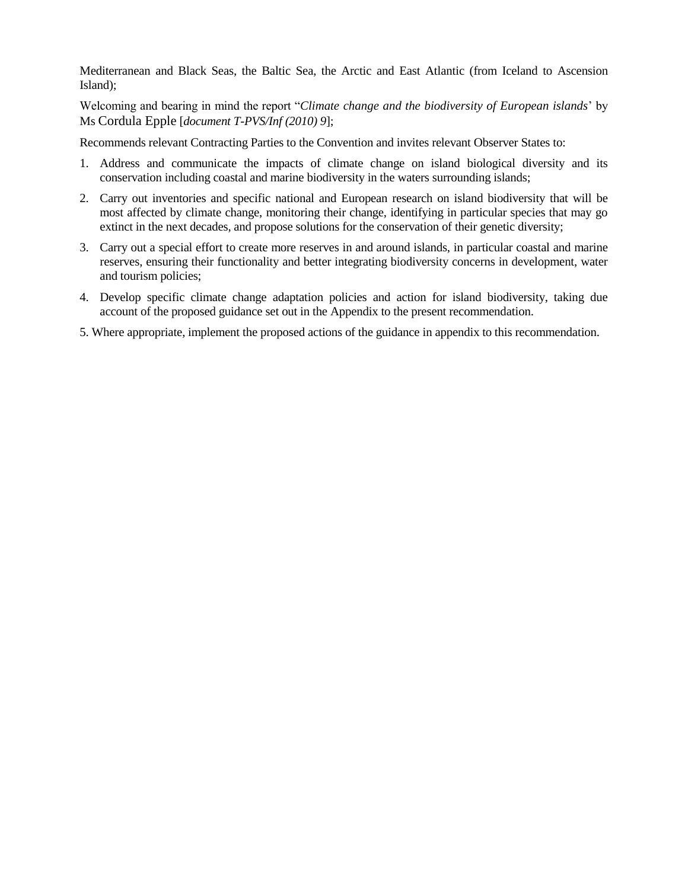Mediterranean and Black Seas, the Baltic Sea, the Arctic and East Atlantic (from Iceland to Ascension Island);

Welcoming and bearing in mind the report "*Climate change and the biodiversity of European islands*' by Ms Cordula Epple [*document T-PVS/Inf (2010) 9*];

Recommends relevant Contracting Parties to the Convention and invites relevant Observer States to:

- 1. Address and communicate the impacts of climate change on island biological diversity and its conservation including coastal and marine biodiversity in the waters surrounding islands;
- 2. Carry out inventories and specific national and European research on island biodiversity that will be most affected by climate change, monitoring their change, identifying in particular species that may go extinct in the next decades, and propose solutions for the conservation of their genetic diversity;
- 3. Carry out a special effort to create more reserves in and around islands, in particular coastal and marine reserves, ensuring their functionality and better integrating biodiversity concerns in development, water and tourism policies;
- 4. Develop specific climate change adaptation policies and action for island biodiversity, taking due account of the proposed guidance set out in the Appendix to the present recommendation.
- 5. Where appropriate, implement the proposed actions of the guidance in appendix to this recommendation.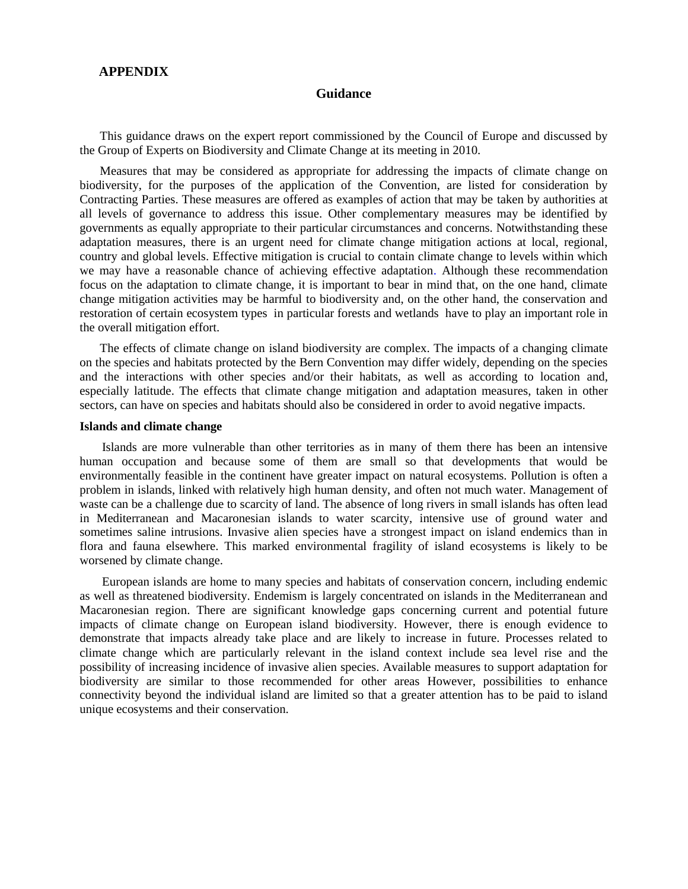## **APPENDIX**

#### **Guidance**

This guidance draws on the expert report commissioned by the Council of Europe and discussed by the Group of Experts on Biodiversity and Climate Change at its meeting in 2010.

Measures that may be considered as appropriate for addressing the impacts of climate change on biodiversity, for the purposes of the application of the Convention, are listed for consideration by Contracting Parties. These measures are offered as examples of action that may be taken by authorities at all levels of governance to address this issue. Other complementary measures may be identified by governments as equally appropriate to their particular circumstances and concerns. Notwithstanding these adaptation measures, there is an urgent need for climate change mitigation actions at local, regional, country and global levels. Effective mitigation is crucial to contain climate change to levels within which we may have a reasonable chance of achieving effective adaptation. Although these recommendation focus on the adaptation to climate change, it is important to bear in mind that, on the one hand, climate change mitigation activities may be harmful to biodiversity and, on the other hand, the conservation and restoration of certain ecosystem types in particular forests and wetlands have to play an important role in the overall mitigation effort.

The effects of climate change on island biodiversity are complex. The impacts of a changing climate on the species and habitats protected by the Bern Convention may differ widely, depending on the species and the interactions with other species and/or their habitats, as well as according to location and, especially latitude. The effects that climate change mitigation and adaptation measures, taken in other sectors, can have on species and habitats should also be considered in order to avoid negative impacts.

#### **Islands and climate change**

Islands are more vulnerable than other territories as in many of them there has been an intensive human occupation and because some of them are small so that developments that would be environmentally feasible in the continent have greater impact on natural ecosystems. Pollution is often a problem in islands, linked with relatively high human density, and often not much water. Management of waste can be a challenge due to scarcity of land. The absence of long rivers in small islands has often lead in Mediterranean and Macaronesian islands to water scarcity, intensive use of ground water and sometimes saline intrusions. Invasive alien species have a strongest impact on island endemics than in flora and fauna elsewhere. This marked environmental fragility of island ecosystems is likely to be worsened by climate change.

European islands are home to many species and habitats of conservation concern, including endemic as well as threatened biodiversity. Endemism is largely concentrated on islands in the Mediterranean and Macaronesian region. There are significant knowledge gaps concerning current and potential future impacts of climate change on European island biodiversity. However, there is enough evidence to demonstrate that impacts already take place and are likely to increase in future. Processes related to climate change which are particularly relevant in the island context include sea level rise and the possibility of increasing incidence of invasive alien species. Available measures to support adaptation for biodiversity are similar to those recommended for other areas However, possibilities to enhance connectivity beyond the individual island are limited so that a greater attention has to be paid to island unique ecosystems and their conservation.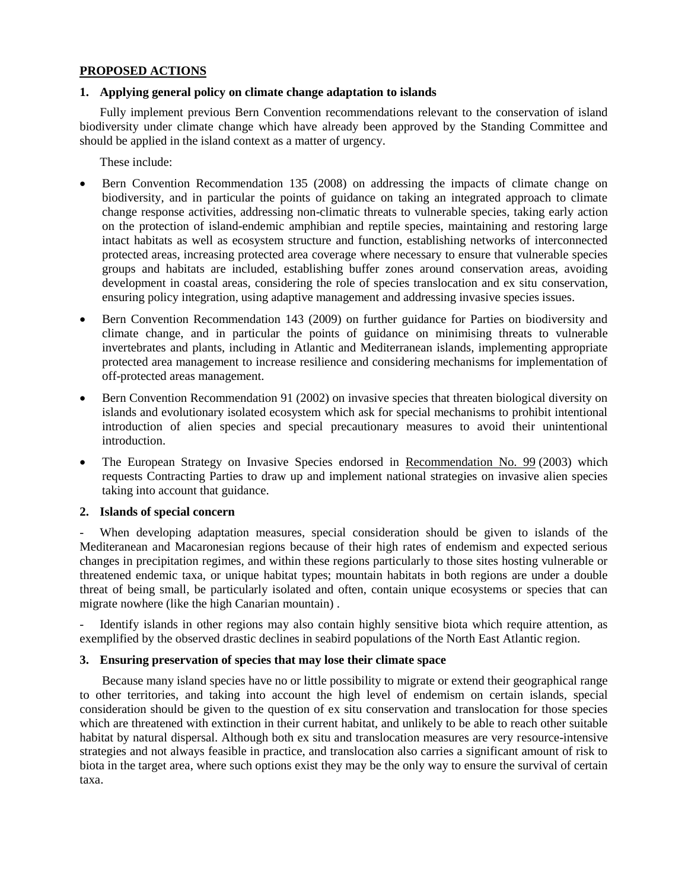## **PROPOSED ACTIONS**

#### **1. Applying general policy on climate change adaptation to islands**

Fully implement previous Bern Convention recommendations relevant to the conservation of island biodiversity under climate change which have already been approved by the Standing Committee and should be applied in the island context as a matter of urgency.

These include:

- Bern Convention Recommendation 135 (2008) on addressing the impacts of climate change on biodiversity, and in particular the points of guidance on taking an integrated approach to climate change response activities, addressing non-climatic threats to vulnerable species, taking early action on the protection of island-endemic amphibian and reptile species, maintaining and restoring large intact habitats as well as ecosystem structure and function, establishing networks of interconnected protected areas, increasing protected area coverage where necessary to ensure that vulnerable species groups and habitats are included, establishing buffer zones around conservation areas, avoiding development in coastal areas, considering the role of species translocation and ex situ conservation, ensuring policy integration, using adaptive management and addressing invasive species issues.
- Bern Convention Recommendation 143 (2009) on further guidance for Parties on biodiversity and climate change, and in particular the points of guidance on minimising threats to vulnerable invertebrates and plants, including in Atlantic and Mediterranean islands, implementing appropriate protected area management to increase resilience and considering mechanisms for implementation of off-protected areas management.
- Bern Convention Recommendation 91 (2002) on invasive species that threaten biological diversity on islands and evolutionary isolated ecosystem which ask for special mechanisms to prohibit intentional introduction of alien species and special precautionary measures to avoid their unintentional introduction.
- The European Strategy on Invasive Species endorsed in [Recommendation No. 99](http://www.coe.int/t/dg4/cultureheritage/Conventions/Bern/Recommendations/Rec99_2003_en.pdf) (2003) which requests Contracting Parties to draw up and implement national strategies on invasive alien species taking into account that guidance.

## **2. Islands of special concern**

When developing adaptation measures, special consideration should be given to islands of the Mediteranean and Macaronesian regions because of their high rates of endemism and expected serious changes in precipitation regimes, and within these regions particularly to those sites hosting vulnerable or threatened endemic taxa, or unique habitat types; mountain habitats in both regions are under a double threat of being small, be particularly isolated and often, contain unique ecosystems or species that can migrate nowhere (like the high Canarian mountain) .

Identify islands in other regions may also contain highly sensitive biota which require attention, as exemplified by the observed drastic declines in seabird populations of the North East Atlantic region.

#### **3. Ensuring preservation of species that may lose their climate space**

Because many island species have no or little possibility to migrate or extend their geographical range to other territories, and taking into account the high level of endemism on certain islands, special consideration should be given to the question of ex situ conservation and translocation for those species which are threatened with extinction in their current habitat, and unlikely to be able to reach other suitable habitat by natural dispersal. Although both ex situ and translocation measures are very resource-intensive strategies and not always feasible in practice, and translocation also carries a significant amount of risk to biota in the target area, where such options exist they may be the only way to ensure the survival of certain taxa.